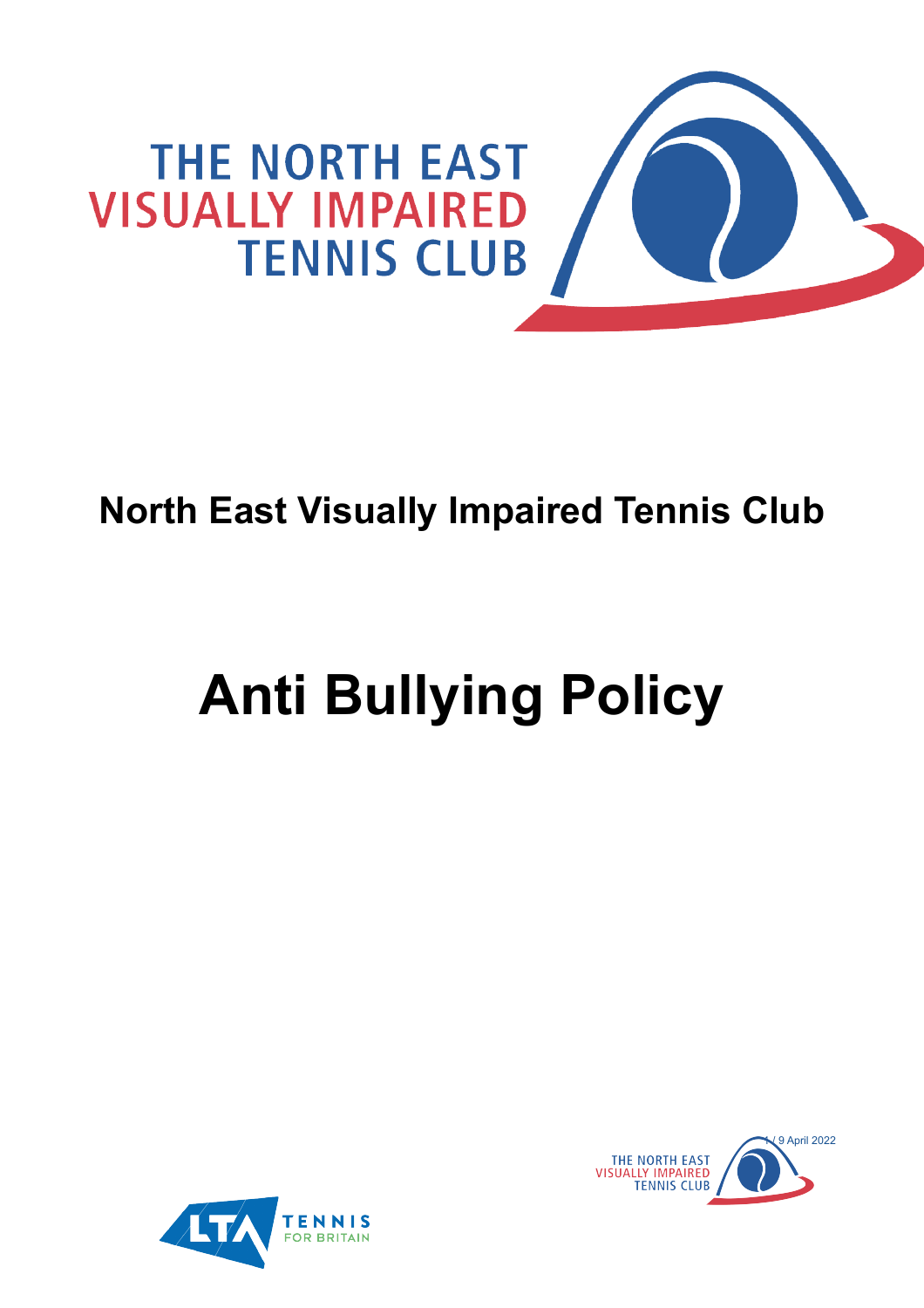

## **North East Visually Impaired Tennis Club**

# **Anti Bullying Policy**



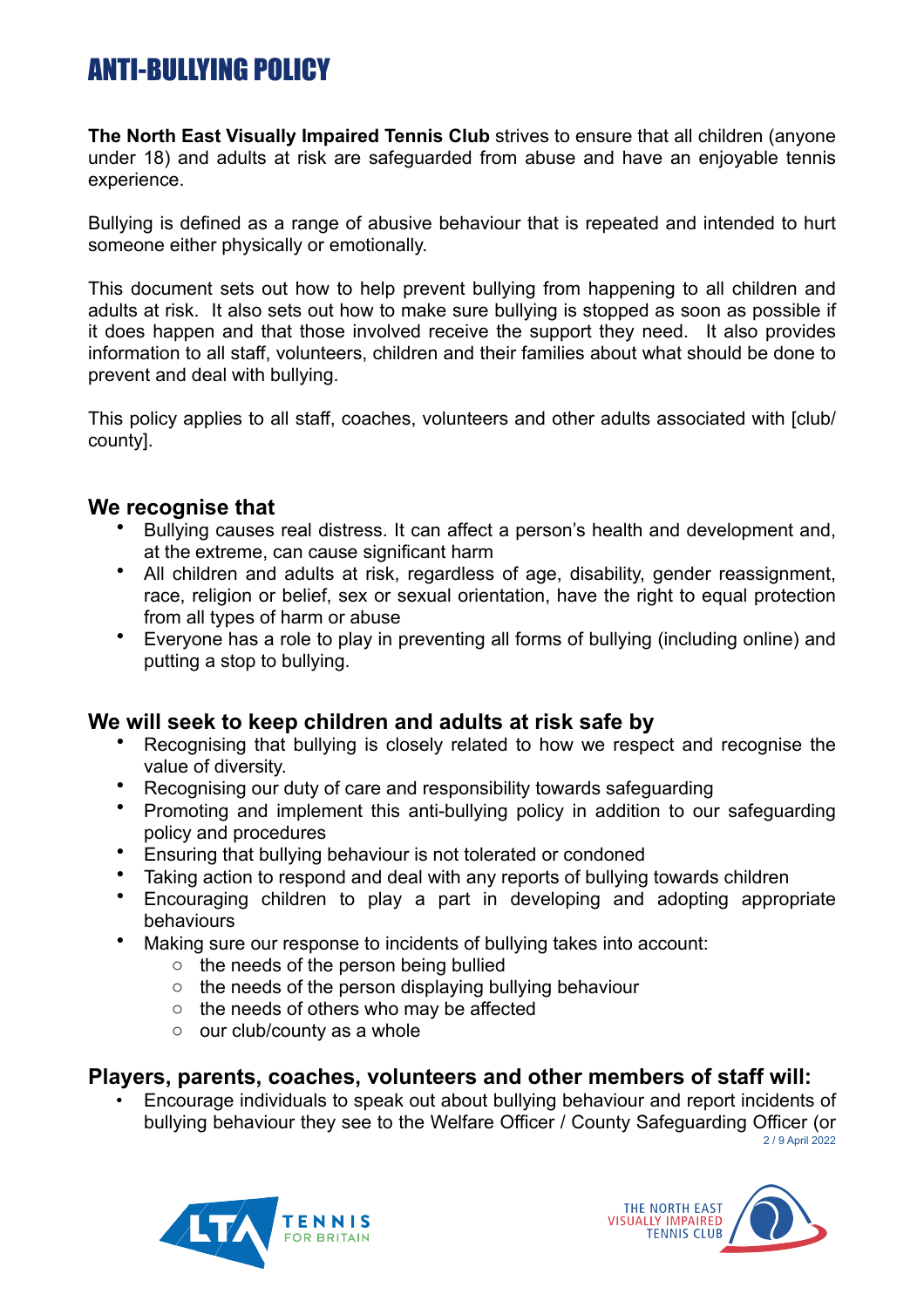### ANTI-BULLYING POLICY

**The North East Visually Impaired Tennis Club** strives to ensure that all children (anyone under 18) and adults at risk are safeguarded from abuse and have an enjoyable tennis experience.

Bullying is defined as a range of abusive behaviour that is repeated and intended to hurt someone either physically or emotionally.

This document sets out how to help prevent bullying from happening to all children and adults at risk. It also sets out how to make sure bullying is stopped as soon as possible if it does happen and that those involved receive the support they need. It also provides information to all staff, volunteers, children and their families about what should be done to prevent and deal with bullying.

This policy applies to all staff, coaches, volunteers and other adults associated with [club/ county].

#### **We recognise that**

- Bullying causes real distress. It can affect a person's health and development and, at the extreme, can cause significant harm
- All children and adults at risk, regardless of age, disability, gender reassignment, race, religion or belief, sex or sexual orientation, have the right to equal protection from all types of harm or abuse
- Everyone has a role to play in preventing all forms of bullying (including online) and putting a stop to bullying.

#### **We will seek to keep children and adults at risk safe by**

- Recognising that bullying is closely related to how we respect and recognise the value of diversity.
- Recognising our duty of care and responsibility towards safeguarding
- Promoting and implement this anti-bullying policy in addition to our safeguarding policy and procedures
- Ensuring that bullying behaviour is not tolerated or condoned
- Taking action to respond and deal with any reports of bullying towards children
- Encouraging children to play a part in developing and adopting appropriate behaviours
- Making sure our response to incidents of bullying takes into account:
	- o the needs of the person being bullied
	- o the needs of the person displaying bullying behaviour
	- o the needs of others who may be affected
	- o our club/county as a whole

#### **Players, parents, coaches, volunteers and other members of staff will:**

• Encourage individuals to speak out about bullying behaviour and report incidents of bullying behaviour they see to the Welfare Officer / County Safeguarding Officer (or 2 / 9 April 2022



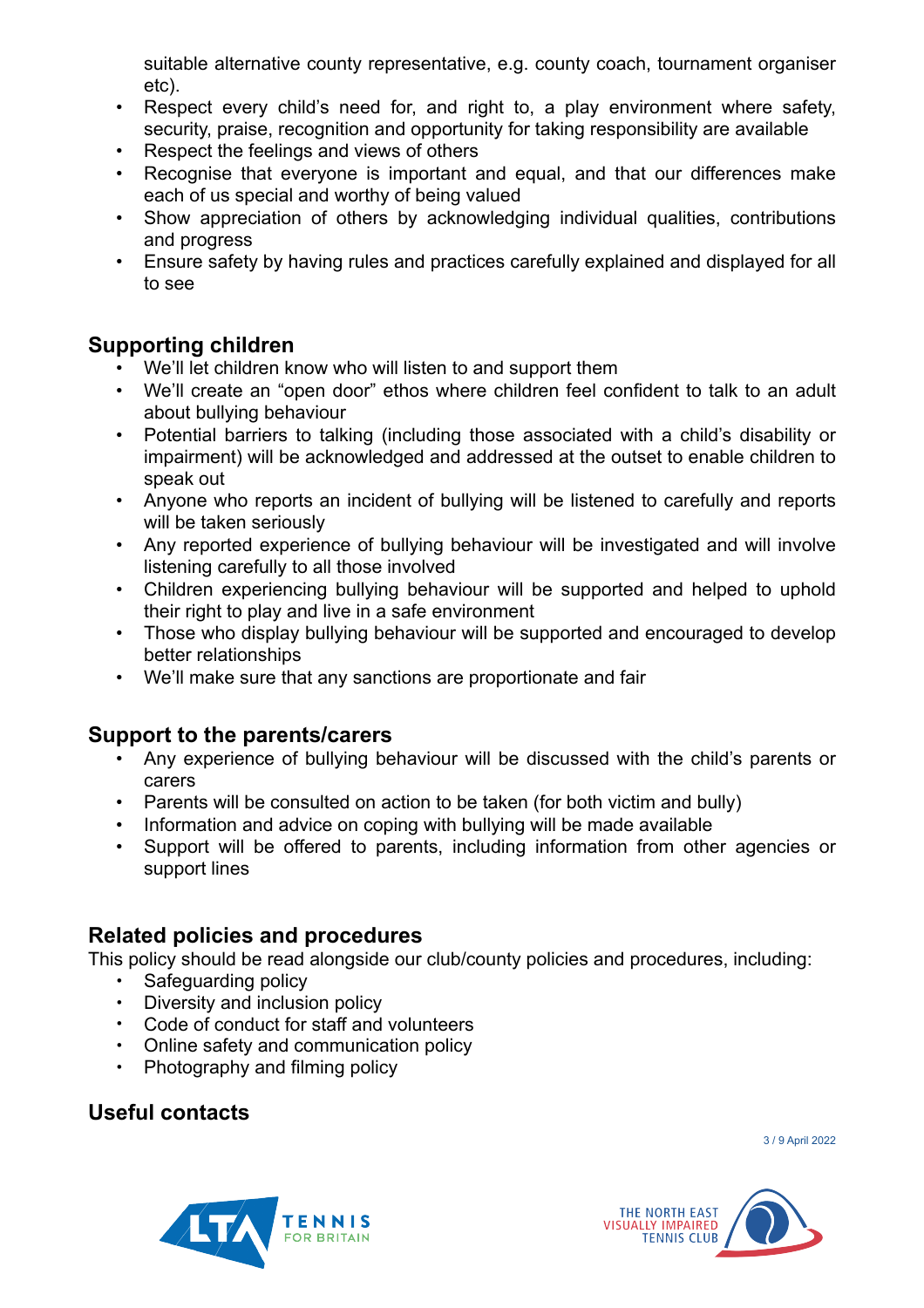suitable alternative county representative, e.g. county coach, tournament organiser etc).

- Respect every child's need for, and right to, a play environment where safety, security, praise, recognition and opportunity for taking responsibility are available
- Respect the feelings and views of others
- Recognise that everyone is important and equal, and that our differences make each of us special and worthy of being valued
- Show appreciation of others by acknowledging individual qualities, contributions and progress
- Ensure safety by having rules and practices carefully explained and displayed for all to see

#### **Supporting children**

- We'll let children know who will listen to and support them
- We'll create an "open door" ethos where children feel confident to talk to an adult about bullying behaviour
- Potential barriers to talking (including those associated with a child's disability or impairment) will be acknowledged and addressed at the outset to enable children to speak out
- Anyone who reports an incident of bullying will be listened to carefully and reports will be taken seriously
- Any reported experience of bullying behaviour will be investigated and will involve listening carefully to all those involved
- Children experiencing bullying behaviour will be supported and helped to uphold their right to play and live in a safe environment
- Those who display bullying behaviour will be supported and encouraged to develop better relationships
- We'll make sure that any sanctions are proportionate and fair

#### **Support to the parents/carers**

- Any experience of bullying behaviour will be discussed with the child's parents or carers
- Parents will be consulted on action to be taken (for both victim and bully)
- Information and advice on coping with bullying will be made available
- Support will be offered to parents, including information from other agencies or support lines

#### **Related policies and procedures**

This policy should be read alongside our club/county policies and procedures, including:

- Safeguarding policy<br>• Diversity and inclusive
- Diversity and inclusion policy
- Code of conduct for staff and volunteers
- Online safety and communication policy
- Photography and filming policy

#### **Useful contacts**

3 / 9 April 2022